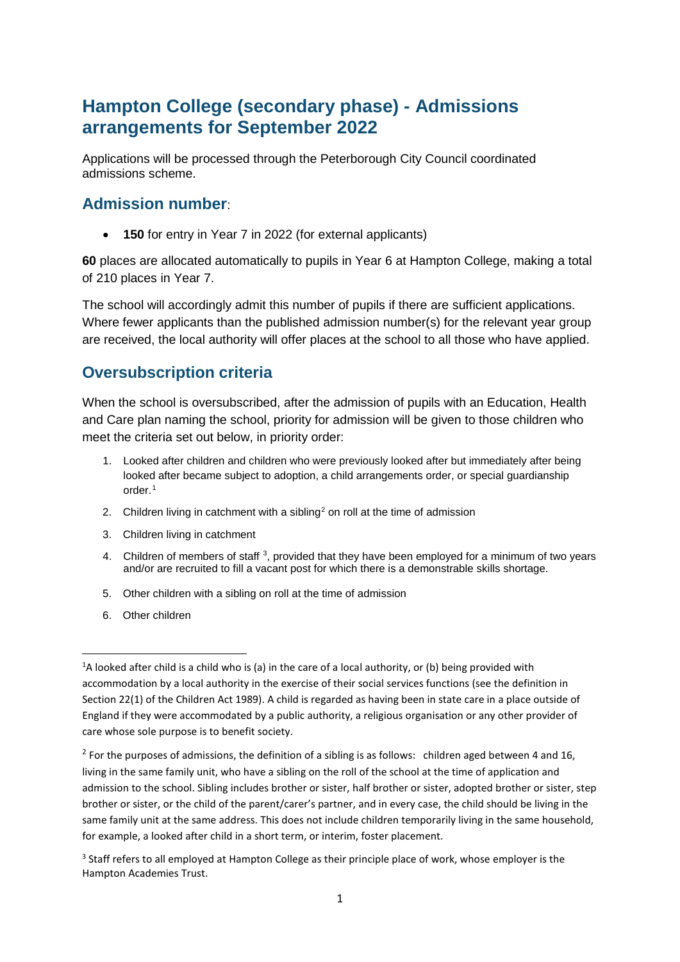# **Hampton College (secondary phase) - Admissions arrangements for September 2022**

Applications will be processed through the Peterborough City Council coordinated admissions scheme.

#### **Admission number**:

• **150** for entry in Year 7 in 2022 (for external applicants)

**60** places are allocated automatically to pupils in Year 6 at Hampton College, making a total of 210 places in Year 7.

The school will accordingly admit this number of pupils if there are sufficient applications. Where fewer applicants than the published admission number(s) for the relevant year group are received, the local authority will offer places at the school to all those who have applied.

#### **Oversubscription criteria**

When the school is oversubscribed, after the admission of pupils with an Education, Health and Care plan naming the school, priority for admission will be given to those children who meet the criteria set out below, in priority order:

- 1. Looked after children and children who were previously looked after but immediately after being looked after became subject to adoption, a child arrangements order, or special guardianship order.[1](#page-0-0)
- [2](#page-0-1). Children living in catchment with a sibling<sup>2</sup> on roll at the time of admission
- 3. Children living in catchment
- 4. Children of members of staff<sup>[3](#page-0-2)</sup>, provided that they have been employed for a minimum of two years and/or are recruited to fill a vacant post for which there is a demonstrable skills shortage.
- 5. Other children with a sibling on roll at the time of admission
- 6. Other children

<span id="page-0-0"></span> $\frac{1}{1}$  $A$  looked after child is a child who is (a) in the care of a local authority, or (b) being provided with accommodation by a local authority in the exercise of their social services functions (see the definition in Section 22(1) of the Children Act 1989). A child is regarded as having been in state care in a place outside of England if they were accommodated by a public authority, a religious organisation or any other provider of care whose sole purpose is to benefit society.

<span id="page-0-1"></span> $2$  For the purposes of admissions, the definition of a sibling is as follows: children aged between 4 and 16, living in the same family unit, who have a sibling on the roll of the school at the time of application and admission to the school. Sibling includes brother or sister, half brother or sister, adopted brother or sister, step brother or sister, or the child of the parent/carer's partner, and in every case, the child should be living in the same family unit at the same address. This does not include children temporarily living in the same household, for example, a looked after child in a short term, or interim, foster placement.

<span id="page-0-2"></span><sup>&</sup>lt;sup>3</sup> Staff refers to all employed at Hampton College as their principle place of work, whose employer is the Hampton Academies Trust.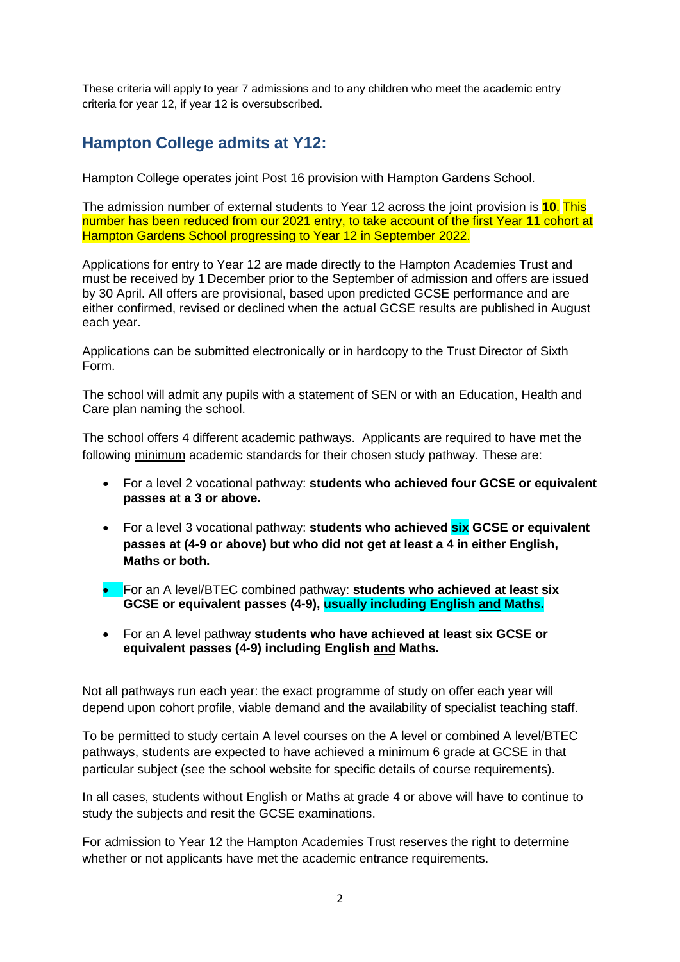These criteria will apply to year 7 admissions and to any children who meet the academic entry criteria for year 12, if year 12 is oversubscribed.

# **Hampton College admits at Y12:**

Hampton College operates joint Post 16 provision with Hampton Gardens School.

The admission number of external students to Year 12 across the joint provision is **10**. This number has been reduced from our 2021 entry, to take account of the first Year 11 cohort at Hampton Gardens School progressing to Year 12 in September 2022.

Applications for entry to Year 12 are made directly to the Hampton Academies Trust and must be received by 1 December prior to the September of admission and offers are issued by 30 April. All offers are provisional, based upon predicted GCSE performance and are either confirmed, revised or declined when the actual GCSE results are published in August each year.

Applications can be submitted electronically or in hardcopy to the Trust Director of Sixth Form.

The school will admit any pupils with a statement of SEN or with an Education, Health and Care plan naming the school.

The school offers 4 different academic pathways. Applicants are required to have met the following minimum academic standards for their chosen study pathway. These are:

- For a level 2 vocational pathway: **students who achieved four GCSE or equivalent passes at a 3 or above.**
- For a level 3 vocational pathway: **students who achieved six GCSE or equivalent passes at (4-9 or above) but who did not get at least a 4 in either English, Maths or both.**
- For an A level/BTEC combined pathway: **students who achieved at least six GCSE or equivalent passes (4-9), usually including English and Maths.**
- For an A level pathway **students who have achieved at least six GCSE or equivalent passes (4-9) including English and Maths.**

Not all pathways run each year: the exact programme of study on offer each year will depend upon cohort profile, viable demand and the availability of specialist teaching staff.

To be permitted to study certain A level courses on the A level or combined A level/BTEC pathways, students are expected to have achieved a minimum 6 grade at GCSE in that particular subject (see the school website for specific details of course requirements).

In all cases, students without English or Maths at grade 4 or above will have to continue to study the subjects and resit the GCSE examinations.

For admission to Year 12 the Hampton Academies Trust reserves the right to determine whether or not applicants have met the academic entrance requirements.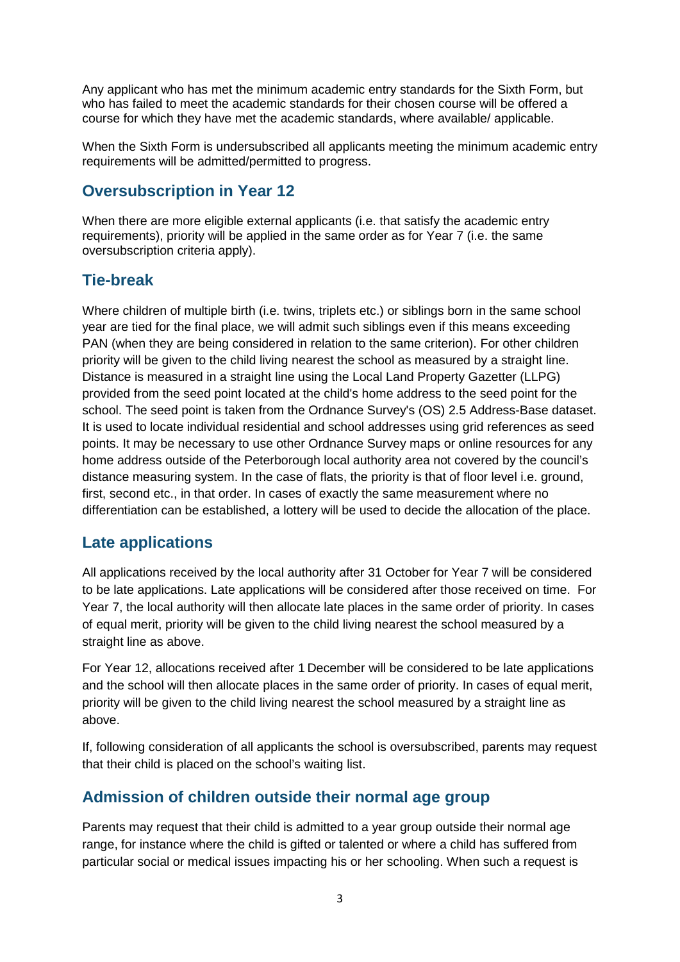Any applicant who has met the minimum academic entry standards for the Sixth Form, but who has failed to meet the academic standards for their chosen course will be offered a course for which they have met the academic standards, where available/ applicable.

When the Sixth Form is undersubscribed all applicants meeting the minimum academic entry requirements will be admitted/permitted to progress.

### **Oversubscription in Year 12**

When there are more eligible external applicants (i.e. that satisfy the academic entry requirements), priority will be applied in the same order as for Year 7 (i.e. the same oversubscription criteria apply).

# **Tie-break**

Where children of multiple birth (i.e. twins, triplets etc.) or siblings born in the same school year are tied for the final place, we will admit such siblings even if this means exceeding PAN (when they are being considered in relation to the same criterion). For other children priority will be given to the child living nearest the school as measured by a straight line. Distance is measured in a straight line using the Local Land Property Gazetter (LLPG) provided from the seed point located at the child's home address to the seed point for the school. The seed point is taken from the Ordnance Survey's (OS) 2.5 Address-Base dataset. It is used to locate individual residential and school addresses using grid references as seed points. It may be necessary to use other Ordnance Survey maps or online resources for any home address outside of the Peterborough local authority area not covered by the council's distance measuring system. In the case of flats, the priority is that of floor level i.e. ground, first, second etc., in that order. In cases of exactly the same measurement where no differentiation can be established, a lottery will be used to decide the allocation of the place.

#### **Late applications**

All applications received by the local authority after 31 October for Year 7 will be considered to be late applications. Late applications will be considered after those received on time. For Year 7, the local authority will then allocate late places in the same order of priority. In cases of equal merit, priority will be given to the child living nearest the school measured by a straight line as above.

For Year 12, allocations received after 1 December will be considered to be late applications and the school will then allocate places in the same order of priority. In cases of equal merit, priority will be given to the child living nearest the school measured by a straight line as above.

If, following consideration of all applicants the school is oversubscribed, parents may request that their child is placed on the school's waiting list.

#### **Admission of children outside their normal age group**

Parents may request that their child is admitted to a year group outside their normal age range, for instance where the child is gifted or talented or where a child has suffered from particular social or medical issues impacting his or her schooling. When such a request is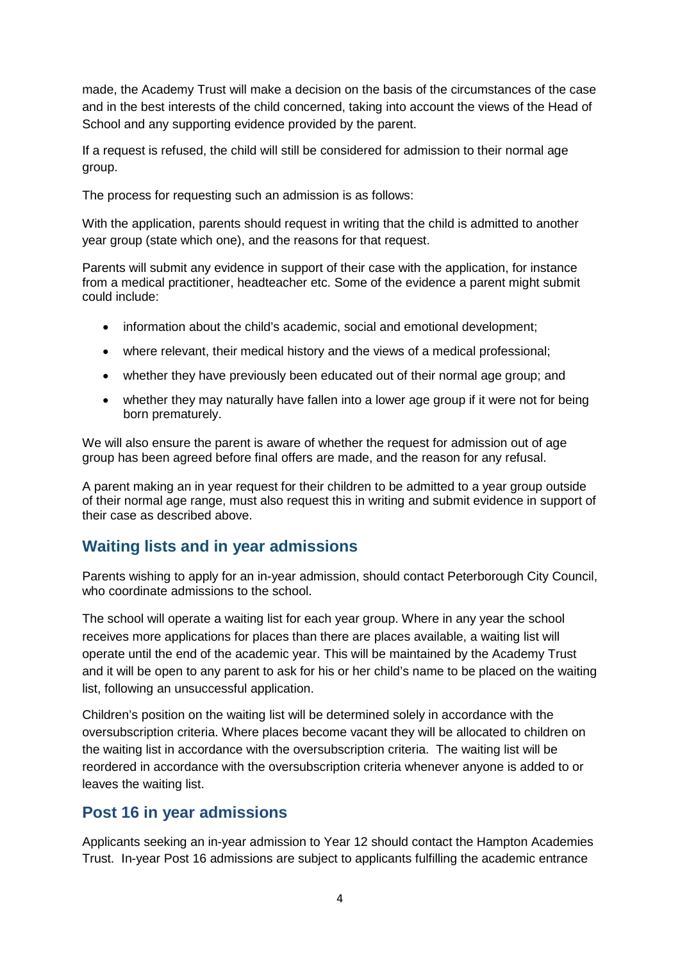made, the Academy Trust will make a decision on the basis of the circumstances of the case and in the best interests of the child concerned, taking into account the views of the Head of School and any supporting evidence provided by the parent.

If a request is refused, the child will still be considered for admission to their normal age group.

The process for requesting such an admission is as follows:

With the application, parents should request in writing that the child is admitted to another year group (state which one), and the reasons for that request.

Parents will submit any evidence in support of their case with the application, for instance from a medical practitioner, headteacher etc. Some of the evidence a parent might submit could include:

- information about the child's academic, social and emotional development;
- where relevant, their medical history and the views of a medical professional;
- whether they have previously been educated out of their normal age group; and
- whether they may naturally have fallen into a lower age group if it were not for being born prematurely.

We will also ensure the parent is aware of whether the request for admission out of age group has been agreed before final offers are made, and the reason for any refusal.

A parent making an in year request for their children to be admitted to a year group outside of their normal age range, must also request this in writing and submit evidence in support of their case as described above.

#### **Waiting lists and in year admissions**

Parents wishing to apply for an in-year admission, should contact Peterborough City Council, who coordinate admissions to the school.

The school will operate a waiting list for each year group. Where in any year the school receives more applications for places than there are places available, a waiting list will operate until the end of the academic year. This will be maintained by the Academy Trust and it will be open to any parent to ask for his or her child's name to be placed on the waiting list, following an unsuccessful application.

Children's position on the waiting list will be determined solely in accordance with the oversubscription criteria. Where places become vacant they will be allocated to children on the waiting list in accordance with the oversubscription criteria. The waiting list will be reordered in accordance with the oversubscription criteria whenever anyone is added to or leaves the waiting list.

#### **Post 16 in year admissions**

Applicants seeking an in-year admission to Year 12 should contact the Hampton Academies Trust. In-year Post 16 admissions are subject to applicants fulfilling the academic entrance